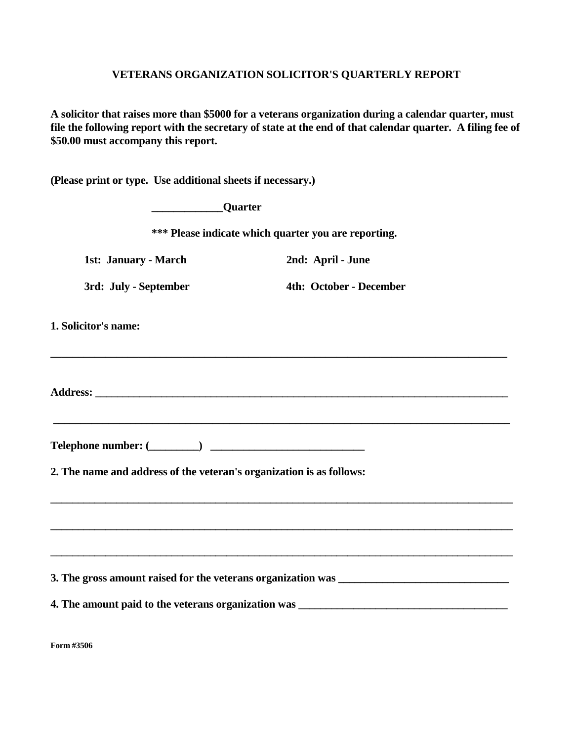## **VETERANS ORGANIZATION SOLICITOR'S QUARTERLY REPORT**

**A solicitor that raises more than \$5000 for a veterans organization during a calendar quarter, must file the following report with the secretary of state at the end of that calendar quarter. A filing fee of \$50.00 must accompany this report.** 

**(Please print or type. Use additional sheets if necessary.)** 

|                       | <b>Example 2</b> Quarter                             |                                                                                                                                                                                |  |  |
|-----------------------|------------------------------------------------------|--------------------------------------------------------------------------------------------------------------------------------------------------------------------------------|--|--|
|                       | *** Please indicate which quarter you are reporting. |                                                                                                                                                                                |  |  |
| 1st: January - March  |                                                      | 2nd: April - June                                                                                                                                                              |  |  |
| 3rd: July - September |                                                      | 4th: October - December                                                                                                                                                        |  |  |
| 1. Solicitor's name:  |                                                      | ,我们也不能在这里的时候,我们也不能在这里的时候,我们也不能会在这里的时候,我们也不能会在这里的时候,我们也不能会在这里的时候,我们也不能会在这里的时候,我们也不                                                                                              |  |  |
|                       |                                                      |                                                                                                                                                                                |  |  |
|                       |                                                      | <u> 1989 - Johann Stoff, amerikansk politiker (d. 1989)</u><br>$\text{Telephone number:} (\_\_\_\_\_)$<br>2. The name and address of the veteran's organization is as follows: |  |  |
|                       |                                                      |                                                                                                                                                                                |  |  |
|                       |                                                      | <u> 1989 - Johann John Stone, Amerikaansk politiker († 1908)</u>                                                                                                               |  |  |
|                       |                                                      |                                                                                                                                                                                |  |  |
|                       |                                                      |                                                                                                                                                                                |  |  |

**Form #3506**